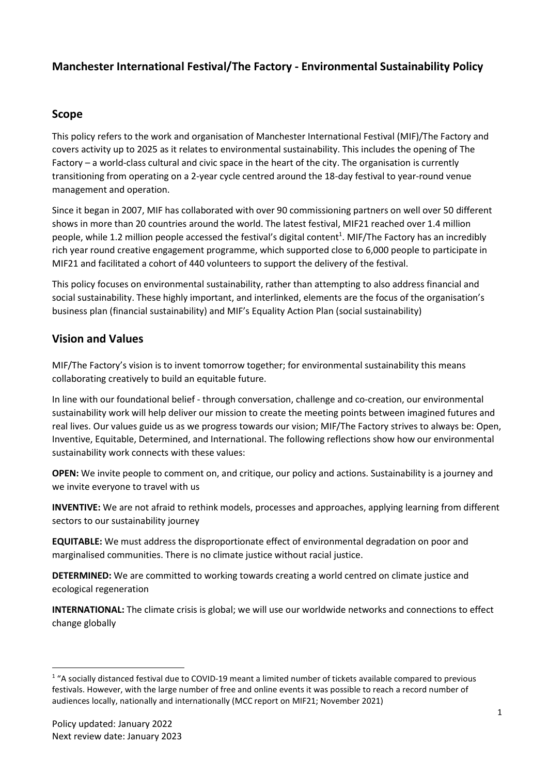# Manchester International Festival/The Factory - Environmental Sustainability Policy

### Scope

This policy refers to the work and organisation of Manchester International Festival (MIF)/The Factory and covers activity up to 2025 as it relates to environmental sustainability. This includes the opening of The Factory – a world-class cultural and civic space in the heart of the city. The organisation is currently transitioning from operating on a 2-year cycle centred around the 18-day festival to year-round venue management and operation.

Since it began in 2007, MIF has collaborated with over 90 commissioning partners on well over 50 different shows in more than 20 countries around the world. The latest festival, MIF21 reached over 1.4 million people, while 1.2 million people accessed the festival's digital content<sup>1</sup>. MIF/The Factory has an incredibly rich year round creative engagement programme, which supported close to 6,000 people to participate in MIF21 and facilitated a cohort of 440 volunteers to support the delivery of the festival.

This policy focuses on environmental sustainability, rather than attempting to also address financial and social sustainability. These highly important, and interlinked, elements are the focus of the organisation's business plan (financial sustainability) and MIF's Equality Action Plan (social sustainability)

## Vision and Values

MIF/The Factory's vision is to invent tomorrow together; for environmental sustainability this means collaborating creatively to build an equitable future.

In line with our foundational belief - through conversation, challenge and co-creation, our environmental sustainability work will help deliver our mission to create the meeting points between imagined futures and real lives. Our values guide us as we progress towards our vision; MIF/The Factory strives to always be: Open, Inventive, Equitable, Determined, and International. The following reflections show how our environmental sustainability work connects with these values:

OPEN: We invite people to comment on, and critique, our policy and actions. Sustainability is a journey and we invite everyone to travel with us

INVENTIVE: We are not afraid to rethink models, processes and approaches, applying learning from different sectors to our sustainability journey

EQUITABLE: We must address the disproportionate effect of environmental degradation on poor and marginalised communities. There is no climate justice without racial justice.

DETERMINED: We are committed to working towards creating a world centred on climate justice and ecological regeneration

INTERNATIONAL: The climate crisis is global; we will use our worldwide networks and connections to effect change globally

<sup>&</sup>lt;sup>1</sup> "A socially distanced festival due to COVID-19 meant a limited number of tickets available compared to previous festivals. However, with the large number of free and online events it was possible to reach a record number of audiences locally, nationally and internationally (MCC report on MIF21; November 2021)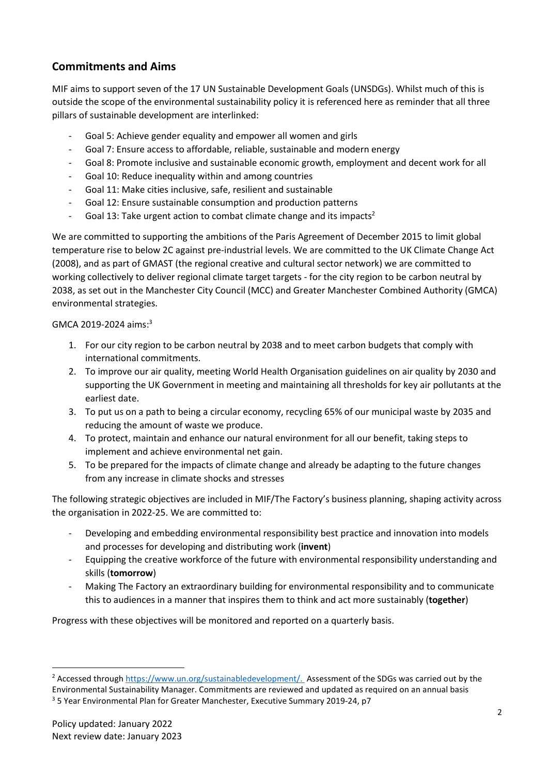# Commitments and Aims

MIF aims to support seven of the 17 UN Sustainable Development Goals (UNSDGs). Whilst much of this is outside the scope of the environmental sustainability policy it is referenced here as reminder that all three pillars of sustainable development are interlinked:

- Goal 5: Achieve gender equality and empower all women and girls
- Goal 7: Ensure access to affordable, reliable, sustainable and modern energy
- Goal 8: Promote inclusive and sustainable economic growth, employment and decent work for all
- Goal 10: Reduce inequality within and among countries
- Goal 11: Make cities inclusive, safe, resilient and sustainable
- Goal 12: Ensure sustainable consumption and production patterns
- Goal 13: Take urgent action to combat climate change and its impacts<sup>2</sup>

We are committed to supporting the ambitions of the Paris Agreement of December 2015 to limit global temperature rise to below 2C against pre-industrial levels. We are committed to the UK Climate Change Act (2008), and as part of GMAST (the regional creative and cultural sector network) we are committed to working collectively to deliver regional climate target targets - for the city region to be carbon neutral by 2038, as set out in the Manchester City Council (MCC) and Greater Manchester Combined Authority (GMCA) environmental strategies.

#### GMCA 2019-2024 aims:<sup>3</sup>

- 1. For our city region to be carbon neutral by 2038 and to meet carbon budgets that comply with international commitments.
- 2. To improve our air quality, meeting World Health Organisation guidelines on air quality by 2030 and supporting the UK Government in meeting and maintaining all thresholds for key air pollutants at the earliest date.
- 3. To put us on a path to being a circular economy, recycling 65% of our municipal waste by 2035 and reducing the amount of waste we produce.
- 4. To protect, maintain and enhance our natural environment for all our benefit, taking steps to implement and achieve environmental net gain.
- 5. To be prepared for the impacts of climate change and already be adapting to the future changes from any increase in climate shocks and stresses

The following strategic objectives are included in MIF/The Factory's business planning, shaping activity across the organisation in 2022-25. We are committed to:

- Developing and embedding environmental responsibility best practice and innovation into models and processes for developing and distributing work (invent)
- Equipping the creative workforce of the future with environmental responsibility understanding and skills (tomorrow)
- Making The Factory an extraordinary building for environmental responsibility and to communicate this to audiences in a manner that inspires them to think and act more sustainably (together)

Progress with these objectives will be monitored and reported on a quarterly basis.

<sup>&</sup>lt;sup>2</sup> Accessed through https://www.un.org/sustainabledevelopment/. Assessment of the SDGs was carried out by the Environmental Sustainability Manager. Commitments are reviewed and updated as required on an annual basis <sup>3</sup> 5 Year Environmental Plan for Greater Manchester, Executive Summary 2019-24, p7